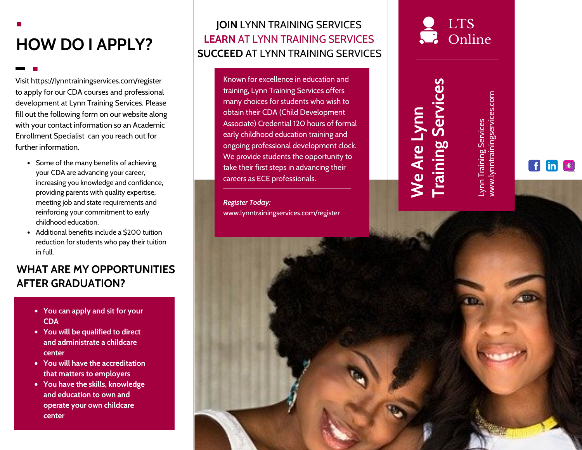# **HOW DO I APPLY?**

Visit https://lynntrainingservices.com/register to apply for our CDA courses and professional development at Lynn Training Services. Please fill out the following form on our website along with your contact information so an Academic Enrollment Specialist can you reach out for further information.

- Some of the many benefits of achieving your CDA are advancing your career, increasing you knowledge and confidence, providing parents with quality expertise, meeting job and state requirements and reinforcing your commitment to early childhood education.
- Additional benefits include a \$200 tuition reduction for students who pay their tuition in full.

#### **WHAT ARE MY OPPORTUNITIES AFTER GRADUATION?**

- **You can apply and sit for your CDA**
- **You will be qualified to direct and administrate a childcare center**
- **You will have the accreditation that matters to employers**
- **You have the skills, knowledge and education to own and operate your own childcare center**

#### **JOIN** LYNN TRAINING SERVICES **LEARN** AT LYNN TRAINING SERVICES **SUCCEED** AT LYNN TRAINING SERVICES

Known for excellence in education and training, Lynn Training Services offers many choices for students who wish to obtain their CDA (Child Development Associate) Credential 120 hours of formal early childhood education training and ongoing professional development clock. We provide students the opportunity to take their first steps in advancing their careers as ECE professionals.

*Register Today:* www.lynntrainingservices.com/register

## LTS **P** Online

# **Training Services Training Services**

**We Are Lynn** 

We Are Lynn

www.lynntrainingservices.com www.lynntrainingservices.com **Lynn Training Services** Lynn Training Services